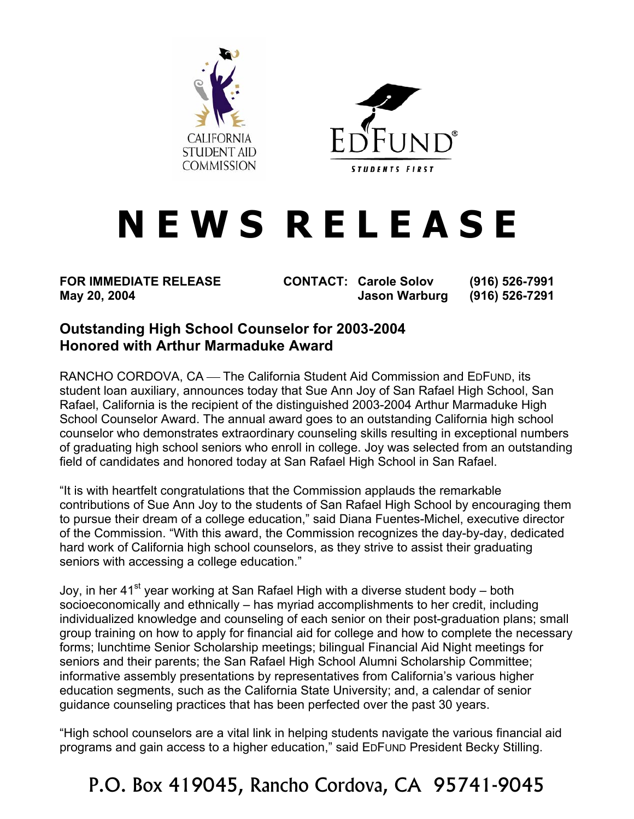



## **N E W S R E L E A S E**

**FOR IMMEDIATE RELEASE CONTACT: Carole Solov (916) 526-7991 May 20, 2004 Jason Warburg (916) 526-7291** 

## **Outstanding High School Counselor for 2003-2004 Honored with Arthur Marmaduke Award**

RANCHO CORDOVA, CA — The California Student Aid Commission and EDFUND, its student loan auxiliary, announces today that Sue Ann Joy of San Rafael High School, San Rafael, California is the recipient of the distinguished 2003-2004 Arthur Marmaduke High School Counselor Award. The annual award goes to an outstanding California high school counselor who demonstrates extraordinary counseling skills resulting in exceptional numbers of graduating high school seniors who enroll in college. Joy was selected from an outstanding field of candidates and honored today at San Rafael High School in San Rafael.

"It is with heartfelt congratulations that the Commission applauds the remarkable contributions of Sue Ann Joy to the students of San Rafael High School by encouraging them to pursue their dream of a college education," said Diana Fuentes-Michel, executive director of the Commission. "With this award, the Commission recognizes the day-by-day, dedicated hard work of California high school counselors, as they strive to assist their graduating seniors with accessing a college education."

Joy, in her 41<sup>st</sup> year working at San Rafael High with a diverse student body – both socioeconomically and ethnically – has myriad accomplishments to her credit, including individualized knowledge and counseling of each senior on their post-graduation plans; small group training on how to apply for financial aid for college and how to complete the necessary forms; lunchtime Senior Scholarship meetings; bilingual Financial Aid Night meetings for seniors and their parents; the San Rafael High School Alumni Scholarship Committee; informative assembly presentations by representatives from California's various higher education segments, such as the California State University; and, a calendar of senior guidance counseling practices that has been perfected over the past 30 years.

"High school counselors are a vital link in helping students navigate the various financial aid programs and gain access to a higher education," said EDFUND President Becky Stilling.

## P.O. Box 419045, Rancho Cordova, CA 95741-9045